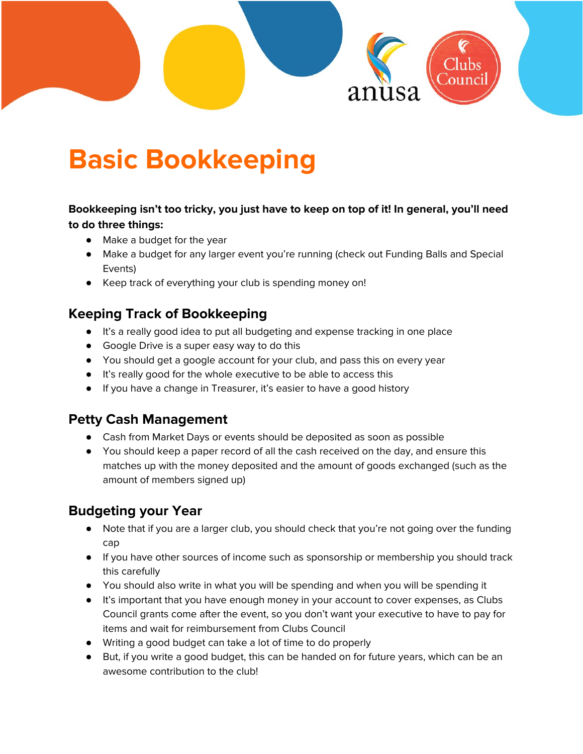

# **Basic Bookkeeping**

#### **Bookkeeping isn't too tricky, you just have to keep on top of it! In general, you'll need to do three things:**

- Make a budget for the year
- Make a budget for any larger event you're running (check out Funding Balls and Special Events)
- Keep track of everything your club is spending money on!

# **Keeping Track of Bookkeeping**

- It's a really good idea to put all budgeting and expense tracking in one place
- Google Drive is a super easy way to do this
- You should get a google account for your club, and pass this on every year
- It's really good for the whole executive to be able to access this
- If you have a change in Treasurer, it's easier to have a good history

### **Petty Cash Management**

- Cash from Market Days or events should be deposited as soon as possible
- You should keep a paper record of all the cash received on the day, and ensure this matches up with the money deposited and the amount of goods exchanged (such as the amount of members signed up)

### **Budgeting your Year**

- Note that if you are a larger club, you should check that you're not going over the funding cap
- If you have other sources of income such as sponsorship or membership you should track this carefully
- You should also write in what you will be spending and when you will be spending it
- It's important that you have enough money in your account to cover expenses, as Clubs Council grants come after the event, so you don't want your executive to have to pay for items and wait for reimbursement from Clubs Council
- Writing a good budget can take a lot of time to do properly
- But, if you write a good budget, this can be handed on for future years, which can be an awesome contribution to the club!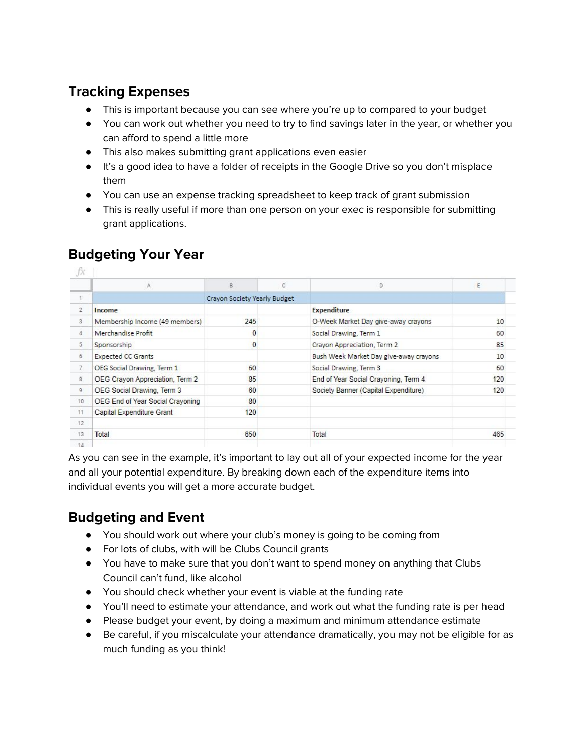### **Tracking Expenses**

- This is important because you can see where you're up to compared to your budget
- You can work out whether you need to try to find savings later in the year, or whether you can afford to spend a little more
- This also makes submitting grant applications even easier
- It's a good idea to have a folder of receipts in the Google Drive so you don't misplace them
- You can use an expense tracking spreadsheet to keep track of grant submission
- This is really useful if more than one person on your exec is responsible for submitting grant applications.

| JX.            |                                  |                              |   |                                        |     |  |
|----------------|----------------------------------|------------------------------|---|----------------------------------------|-----|--|
|                | A                                | B                            | C | D                                      | E   |  |
|                |                                  | Crayon Society Yearly Budget |   |                                        |     |  |
| $\overline{2}$ | Income                           |                              |   | <b>Expenditure</b>                     |     |  |
| 3              | Membership Income (49 members)   | 245                          |   | O-Week Market Day give-away crayons    | 10  |  |
| 4              | Merchandise Profit               |                              |   | Social Drawing, Term 1                 | 60  |  |
| 5              | Sponsorship                      |                              |   | Crayon Appreciation, Term 2            | 85  |  |
| 6              | <b>Expected CC Grants</b>        |                              |   | Bush Week Market Day give-away crayons | 10  |  |
| 7              | OEG Social Drawing, Term 1       | 60                           |   | Social Drawing, Term 3                 | 60  |  |
| 8              | OEG Crayon Appreciation, Term 2  | 85                           |   | End of Year Social Crayoning, Term 4   | 120 |  |
| 9              | OEG Social Drawing, Term 3       | 60                           |   | Society Banner (Capital Expenditure)   | 120 |  |
| 10             | OEG End of Year Social Crayoning | 80                           |   |                                        |     |  |
| 11             | <b>Capital Expenditure Grant</b> | 120                          |   |                                        |     |  |
| 12             |                                  |                              |   |                                        |     |  |
| 13             | Total                            | 650                          |   | Total                                  | 465 |  |
| 1A             |                                  |                              |   |                                        |     |  |

# **Budgeting Your Year**

As you can see in the example, it's important to lay out all of your expected income for the year and all your potential expenditure. By breaking down each of the expenditure items into individual events you will get a more accurate budget.

### **Budgeting and Event**

- You should work out where your club's money is going to be coming from
- For lots of clubs, with will be Clubs Council grants
- You have to make sure that you don't want to spend money on anything that Clubs Council can't fund, like alcohol
- You should check whether your event is viable at the funding rate
- You'll need to estimate your attendance, and work out what the funding rate is per head
- Please budget your event, by doing a maximum and minimum attendance estimate
- Be careful, if you miscalculate your attendance dramatically, you may not be eligible for as much funding as you think!